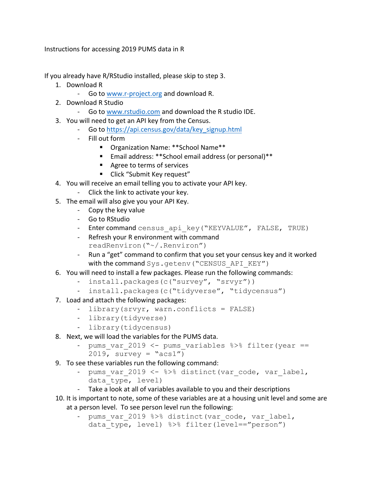Instructions for accessing 2019 PUMS data in R

If you already have R/RStudio installed, please skip to step 3.

- 1. Download R
	- Go to www.r-project.org and download R.
- 2. Download R Studio
	- Go to www.rstudio.com and download the R studio IDE.
- 3. You will need to get an API key from the Census.
	- Go to https://api.census.gov/data/key\_signup.html
	- Fill out form
		- Organization Name: \*\*School Name\*\*
		- Email address: \*\*School email address (or personal)\*\*
		- Agree to terms of services
		- Click "Submit Key request"
- 4. You will receive an email telling you to activate your API key.
	- Click the link to activate your key.
- 5. The email will also give you your API Key.
	- Copy the key value
	- Go to RStudio
	- Enter command census api key ("KEYVALUE", FALSE, TRUE)
	- Refresh your R environment with command readRenviron("~/.Renviron")
	- Run a "get" command to confirm that you set your census key and it worked with the command Sys.getenv ("CENSUS API KEY")
- 6. You will need to install a few packages. Please run the following commands:
	- install.packages(c("survey", "srvyr"))
	- install.packages(c("tidyverse", "tidycensus")
- 7. Load and attach the following packages:
	- library(srvyr, warn.conflicts = FALSE)
	- library(tidyverse)
	- library(tidycensus)
- 8. Next, we will load the variables for the PUMS data.
	- pums var 2019 <- pums variables  $8>8$  filter(year ==  $2019$ , survey = " $acs1"$ )
- 9. To see these variables run the following command:
	- pums var 2019 <- %>% distinct(var code, var label, data type, level)
	- Take a look at all of variables available to you and their descriptions
- 10. It is important to note, some of these variables are at a housing unit level and some are at a person level. To see person level run the following:
	- pums var 2019 %>% distinct(var code, var label, data type, level) %>% filter(level=="person")